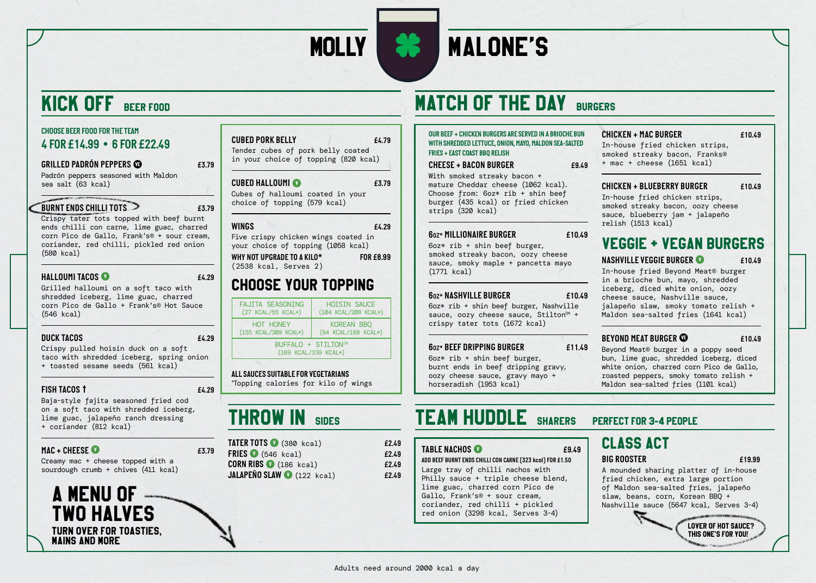

# MOLLY **88 MALONE'S**

# KICK OFF BEER FOOD

### *CHOOSE BEER FOOD FOR THE TEAM 4 FOR £14.99 • 6 FOR £22.49*

### *GRILLED PADRÓN PEPPERS £3.79*

Padrón peppers seasoned with Maldon sea salt (63 kcal)

### *BURNT ENDS CHILLI TOTS £3.79*

Crispy tater tots topped with beef burnt ends chilli con carne, lime guac, charred corn Pico de Gallo, Frank's® + sour cream, coriander, red chilli, pickled red onion (580 kcal)

### *HALLOUMI TACOS £4.29*

Grilled halloumi on a soft taco with shredded iceberg, lime guac, charred corn Pico de Gallo + Frank's® Hot Sauce (546 kcal)

### *DUCK TACOS £4.29*

Crispy pulled hoisin duck on a soft taco with shredded iceberg, spring onion + toasted sesame seeds (561 kcal)

### *FISH TACOS £4.29*

Baja-style fajita seasoned fried cod on a soft taco with shredded iceberg, lime guac, jalapeño ranch dressing + coriander (812 kcal)

### *MAC + CHEESE £3.79*

Creamy mac + cheese topped with a sourdough crumb + chives (411 kcal)

## A MENU OF TWO HALVES TURN OVER FOR TOASTIES, MAINS AND MORE

| <b>CUBED PORK BELLY</b>              | £4.79 |
|--------------------------------------|-------|
| Tender cubes of pork belly coated    |       |
| in your choice of topping (820 kcal) |       |

### *CUBED HALLOUMI £3.79*

Cubes of halloumi coated in your choice of topping (579 kcal)

### *WINGS £4.29*

Five crispy chicken wings coated in your choice of topping (1058 kcal) *WHY NOT UPGRADE TO A KILO\* FOR £8.99* (2538 kcal, Serves 2)

## CHOOSE YOUR TOPPING

| <b>FAJITA SEASONING</b>                    | <b>HOISIN SAUCE</b>  |  |
|--------------------------------------------|----------------------|--|
| (27 KCAL/55 KCAL*)                         | (104 KCAL/208 KCAL*) |  |
| HOT HONEY                                  | KOREAN BBQ           |  |
| (155 KCAL/309 KCAL*)                       | (94 KCAL/188 KCAL*)  |  |
| BUFFALO + STILTON™<br>(169 KCAL/339 KCAL*) |                      |  |

### *ALL SAUCES SUITABLE FOR VEGETARIANS*

\* Topping calories for kilo of wings

# THROW IN SIDES

| TATER TOTS (380 kcal)             | £2.49 |
|-----------------------------------|-------|
| FRIES $(546$ kcal)                | £2.49 |
| $CORN$ RIBS $\bigcirc$ (186 kcal) | £2.49 |
| JALAPEÑO SLAW (122 kcal)          | £2.49 |

# **MATCH OF THE DAY BURGERS**

### *OUR BEEF + CHICKEN BURGERS ARE SERVED IN A BRIOCHE BUN WITH SHREDDED LETTUCE, ONION, MAYO, MALDON SEA-SALTED FRIES + EAST COAST BBQ RELISH*

### *CHEESE + BACON BURGER £9.49*

With smoked streaky bacon + mature Cheddar cheese (1062 kcal). Choose from: 6oz\* rib + shin beef burger (435 kcal) or fried chicken strips (320 kcal)

### *6OZ\* MILLIONAIRE BURGER £10.49*

6oz\* rib + shin beef burger, smoked streaky bacon, oozy cheese sauce, smoky maple + pancetta mayo (1771 kcal)

### *6OZ\* NASHVILLE BURGER £10.49*

6oz\* rib + shin beef burger, Nashville sauce, oozy cheese sauce, Stilton<sup> $M +$ </sup> crispy tater tots (1672 kcal)

### *6OZ\* BEEF DRIPPING BURGER £11.49*

6oz\* rib + shin beef burger, burnt ends in beef dripping gravy, oozy cheese sauce, gravy mayo + horseradish (1953 kcal)

# *CHICKEN + MAC BURGER £10.49*

In-house fried chicken strips, smoked streaky bacon, Franks® + mac + cheese (1651 kcal)

### *CHICKEN + BLUEBERRY BURGER £10.49* In-house fried chicken strips, smoked streaky bacon, oozy cheese sauce, blueberry jam + jalapeño

# relish (1513 kcal)

## VEGGIE + VEGAN BURGERS

*NASHVILLE VEGGIE BURGER £10.49*

In-house fried Beyond Meat® burger in a brioche bun, mayo, shredded iceberg, diced white onion, oozy cheese sauce, Nashville sauce, jalapeño slaw, smoky tomato relish + Maldon sea-salted fries (1641 kcal)

### *BEYOND MEAT BURGER £10.49*

Beyond Meat® burger in a poppy seed bun, lime guac, shredded iceberg, diced white onion, charred corn Pico de Gallo, roasted peppers, smoky tomato relish + Maldon sea-salted fries (1101 kcal)

# TEAM HUDDLE SHARERS PERFECT FOR 3-4 PEOPLE

### *TABLE NACHOS £9.49*

*ADD BEEF BURNT ENDS CHILLI CON CARNE (323 kcal) FOR £1.50* Large tray of chilli nachos with Philly sauce + triple cheese blend, lime guac, charred corn Pico de Gallo, Frank's® + sour cream, coriander, red chilli + pickled red onion (3298 kcal, Serves 3-4)

### CLASS ACT *BIG ROOSTER £19.99*

A mounded sharing platter of in-house fried chicken, extra large portion of Maldon sea-salted fries, jalapeño slaw, beans, corn, Korean BBQ + Nashville sauce (5647 kcal, Serves 3-4)